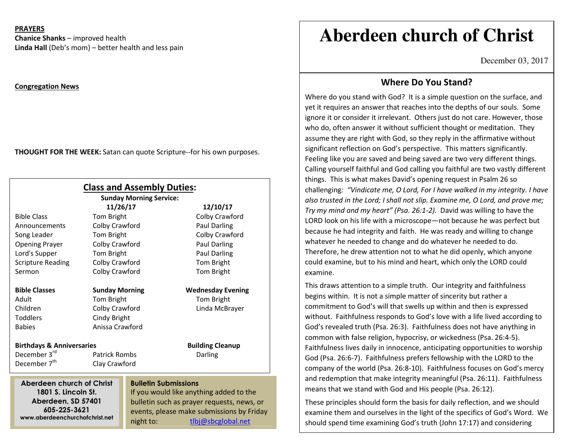#### **PRAYERS**

**Chanice Shanks** – improved health **Linda Hall** (Deb's mom) – better health and less pain

#### **Congregation News**

**THOUGHT FOR THE WEEK:** Satan can quote Scripture--for his own purposes.

|                                                                                             |                       | <b>Class and Assembly Duties:</b><br><b>Sunday Morning Service:</b> |                                           |
|---------------------------------------------------------------------------------------------|-----------------------|---------------------------------------------------------------------|-------------------------------------------|
|                                                                                             | 11/26/17              |                                                                     | 12/10/17                                  |
| <b>Bible Class</b>                                                                          | Tom Bright            |                                                                     | Colby Crawford                            |
| Announcements                                                                               | Colby Crawford        |                                                                     | <b>Paul Darling</b>                       |
| Song Leader                                                                                 | Tom Bright            |                                                                     | Colby Crawford                            |
| <b>Opening Prayer</b>                                                                       | Colby Crawford        |                                                                     | Paul Darling                              |
| Lord's Supper                                                                               | Tom Bright            |                                                                     | Paul Darling                              |
| <b>Scripture Reading</b>                                                                    | Colby Crawford        |                                                                     | Tom Bright                                |
| Sermon                                                                                      | Colby Crawford        |                                                                     | Tom Bright                                |
| <b>Bible Classes</b>                                                                        | <b>Sunday Morning</b> |                                                                     | <b>Wednesday Evening</b>                  |
| Adult                                                                                       | Tom Bright            |                                                                     | Tom Bright                                |
| Children                                                                                    | Colby Crawford        |                                                                     | Linda McBrayer                            |
| <b>Toddlers</b>                                                                             | Cindy Bright          |                                                                     |                                           |
| <b>Babies</b>                                                                               | Anissa Crawford       |                                                                     |                                           |
| <b>Birthdays &amp; Anniversaries</b>                                                        |                       |                                                                     | <b>Building Cleanup</b>                   |
| December 3rd                                                                                | <b>Patrick Rombs</b>  |                                                                     | Darling                                   |
| December 7 <sup>th</sup>                                                                    | Clay Crawford         |                                                                     |                                           |
| <b>Bulletin Submissions</b><br>Aberdeen church of Christ                                    |                       |                                                                     |                                           |
| 1801 S. Lincoln St.<br>Aberdeen, SD 57401<br>605-225-3621<br>www.aberdeenchurchofchrist.net |                       |                                                                     | If you would like anything added to the   |
|                                                                                             |                       | bulletin such as prayer requests, news, or                          |                                           |
|                                                                                             |                       |                                                                     | events, please make submissions by Friday |
|                                                                                             |                       | night to:                                                           | tlbj@sbcglobal.net                        |

# **Aberdeen church of Christ**

December 03, 2017

## **Where Do You Stand?**

Where do you stand with God? It is a simple question on the surface, and yet it requires an answer that reaches into the depths of our souls. Some ignore it or consider it irrelevant. Others just do not care. However, those who do, often answer it without sufficient thought or meditation. They assume they are right with God, so they reply in the affirmative without significant reflection on God's perspective. This matters significantly. Feeling like you are saved and being saved are two very different things. Calling yourself faithful and God calling you faithful are two vastly different things. This is what makes David's opening request in Psalm 26 so challenging*: "Vindicate me, O Lord, For I have walked in my integrity. I have also trusted in the Lord; I shall not slip. Examine me, O Lord, and prove me; Try my mind and my heart" (Psa. 26:1-2).* David was willing to have the LORD look on his life with a microscope—not because he was perfect but because he had integrity and faith. He was ready and willing to change whatever he needed to change and do whatever he needed to do. Therefore, he drew attention not to what he did openly, which anyone could examine, but to his mind and heart, which only the LORD could examine.

This draws attention to a simple truth. Our integrity and faithfulness begins within. It is not a simple matter of sincerity but rather a commitment to God's will that swells up within and then is expressed without. Faithfulness responds to God's love with a life lived according to God's revealed truth (Psa. 26:3). Faithfulness does not have anything in common with false religion, hypocrisy, or wickedness (Psa. 26:4-5). Faithfulness lives daily in innocence, anticipating opportunities to worship God (Psa. 26:6-7). Faithfulness prefers fellowship with the LORD to the company of the world (Psa. 26:8-10). Faithfulness focuses on God's mercy and redemption that make integrity meaningful (Psa. 26:11). Faithfulness means that we stand with God and His people (Psa. 26:12).

These principles should form the basis for daily reflection, and we should examine them and ourselves in the light of the specifics of God's Word. We should spend time examining God's truth (John 17:17) and considering

where we still fall short of living that the short of living that the short of living that the short of living